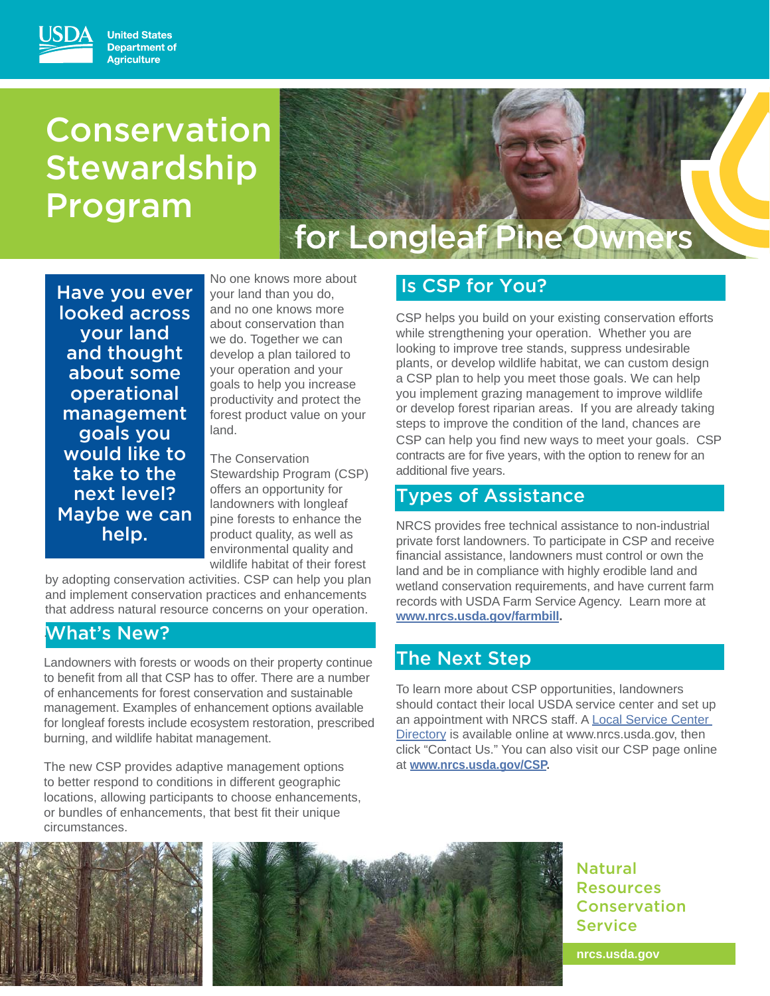# Conservation **Stewardship** Program

# for Longleaf Pine Owners

Have you ever looked across your land and thought about some operational management goals you would like to take to the next level? Maybe we can help.

No one knows more about your land than you do, and no one knows more about conservation than we do. Together we can develop a plan tailored to your operation and your goals to help you increase productivity and protect the forest product value on your land.

The Conservation Stewardship Program (CSP) offers an opportunity for landowners with longleaf pine forests to enhance the product quality, as well as environmental quality and wildlife habitat of their forest

by adopting conservation activities. CSP can help you plan and implement conservation practices and enhancements that address natural resource concerns on your operation.

# . What's New?

Landowners with forests or woods on their property continue to benefit from all that CSP has to offer. There are a number of enhancements for forest conservation and sustainable management. Examples of enhancement options available for longleaf forests include ecosystem restoration, prescribed burning, and wildlife habitat management.

The new CSP provides adaptive management options to better respond to conditions in different geographic locations, allowing participants to choose enhancements, or bundles of enhancements, that best fit their unique circumstances.

# Is CSP for You?

CSP helps you build on your existing conservation efforts while strengthening your operation. Whether you are looking to improve tree stands, suppress undesirable plants, or develop wildlife habitat, we can custom design a CSP plan to help you meet those goals. We can help you implement grazing management to improve wildlife or develop forest riparian areas. If you are already taking steps to improve the condition of the land, chances are CSP can help you find new ways to meet your goals. CSP contracts are for five years, with the option to renew for an additional five years.

## Types of Assistance

NRCS provides free technical assistance to non-industrial private forst landowners. To participate in CSP and receive financial assistance, landowners must control or own the land and be in compliance with highly erodible land and wetland conservation requirements, and have current farm records with USDA Farm Service Agency. Learn more at **www.nrcs.usda.gov/farmbill.**

# The Next Step

To learn more about CSP opportunities, landowners should contact their local USDA service center and set up an appointment with NRCS staff. A Local Service Center Directory is available online at www.nrcs.usda.gov, then click "Contact Us." You can also visit our CSP page online at **www.nrcs.usda.gov/CSP.**





Natural Resources Conservation Service

**nrcs.usda.gov**